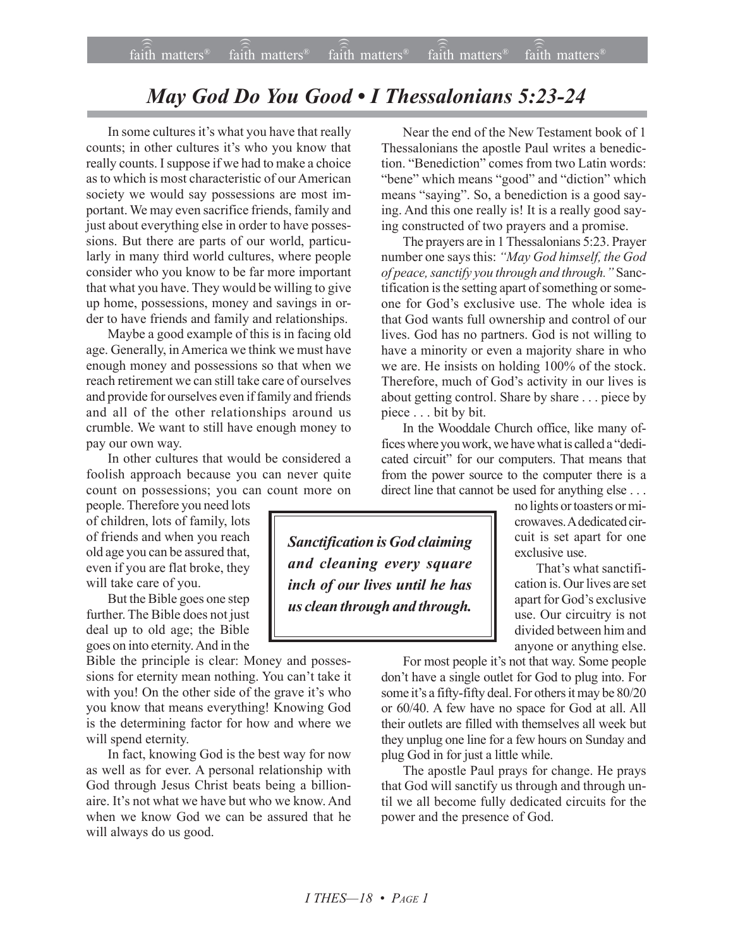## *May God Do You Good • I Thessalonians 5:23-24*

In some cultures it's what you have that really counts; in other cultures it's who you know that really counts. I suppose if we had to make a choice as to which is most characteristic of our American society we would say possessions are most important. We may even sacrifice friends, family and just about everything else in order to have possessions. But there are parts of our world, particularly in many third world cultures, where people consider who you know to be far more important that what you have. They would be willing to give up home, possessions, money and savings in order to have friends and family and relationships.

Maybe a good example of this is in facing old age. Generally, in America we think we must have enough money and possessions so that when we reach retirement we can still take care of ourselves and provide for ourselves even if family and friends and all of the other relationships around us crumble. We want to still have enough money to pay our own way.

In other cultures that would be considered a foolish approach because you can never quite count on possessions; you can count more on

people. Therefore you need lots of children, lots of family, lots of friends and when you reach old age you can be assured that, even if you are flat broke, they will take care of you.

But the Bible goes one step further. The Bible does not just deal up to old age; the Bible goes on into eternity. And in the

Bible the principle is clear: Money and possessions for eternity mean nothing. You can't take it with you! On the other side of the grave it's who you know that means everything! Knowing God is the determining factor for how and where we will spend eternity.

In fact, knowing God is the best way for now as well as for ever. A personal relationship with God through Jesus Christ beats being a billionaire. Itís not what we have but who we know. And when we know God we can be assured that he will always do us good.

Near the end of the New Testament book of 1 Thessalonians the apostle Paul writes a benediction. "Benediction" comes from two Latin words: "bene" which means "good" and "diction" which means "saying". So, a benediction is a good saying. And this one really is! It is a really good saying constructed of two prayers and a promise.

The prayers are in 1 Thessalonians 5:23. Prayer number one says this: "May God himself, the God *of peace, sanctify you through and through.*" Sanctification is the setting apart of something or someone for God's exclusive use. The whole idea is that God wants full ownership and control of our lives. God has no partners. God is not willing to have a minority or even a majority share in who we are. He insists on holding 100% of the stock. Therefore, much of God's activity in our lives is about getting control. Share by share . . . piece by piece . . . bit by bit.

In the Wooddale Church office, like many offices where you work, we have what is called a "dedicated circuit" for our computers. That means that from the power source to the computer there is a direct line that cannot be used for anything else . . .

*Sanctification is God claiming and cleaning every square inch of our lives until he has us clean through and through.*

no lights or toasters or microwaves. A dedicated circuit is set apart for one exclusive use.

That's what sanctification is. Our lives are set apart for God's exclusive use. Our circuitry is not divided between him and anyone or anything else.

For most people it's not that way. Some people don't have a single outlet for God to plug into. For some it's a fifty-fifty deal. For others it may be 80/20 or 60/40. A few have no space for God at all. All their outlets are filled with themselves all week but they unplug one line for a few hours on Sunday and plug God in for just a little while.

The apostle Paul prays for change. He prays that God will sanctify us through and through until we all become fully dedicated circuits for the power and the presence of God.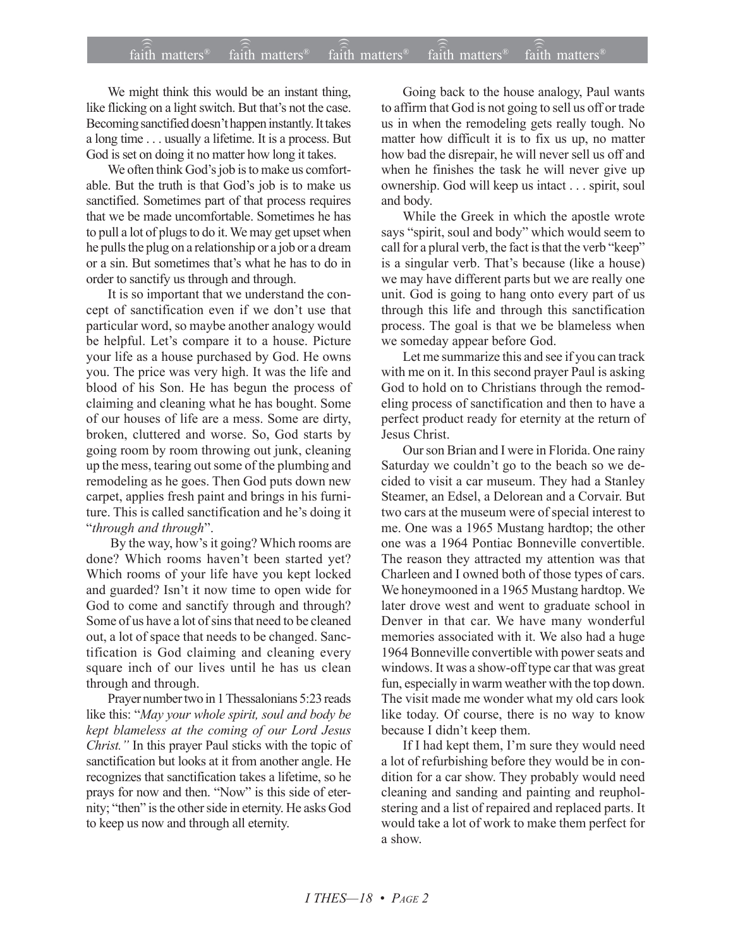We might think this would be an instant thing, like flicking on a light switch. But that's not the case. Becoming sanctified doesn't happen instantly. It takes a long time . . . usually a lifetime. It is a process. But God is set on doing it no matter how long it takes.

We often think God's job is to make us comfortable. But the truth is that God's job is to make us sanctified. Sometimes part of that process requires that we be made uncomfortable. Sometimes he has to pull a lot of plugs to do it. We may get upset when he pulls the plug on a relationship or a job or a dream or a sin. But sometimes that's what he has to do in order to sanctify us through and through.

It is so important that we understand the concept of sanctification even if we don't use that particular word, so maybe another analogy would be helpful. Let's compare it to a house. Picture your life as a house purchased by God. He owns you. The price was very high. It was the life and blood of his Son. He has begun the process of claiming and cleaning what he has bought. Some of our houses of life are a mess. Some are dirty, broken, cluttered and worse. So, God starts by going room by room throwing out junk, cleaning up the mess, tearing out some of the plumbing and remodeling as he goes. Then God puts down new carpet, applies fresh paint and brings in his furniture. This is called sanctification and he's doing it ì*through and through*î.

By the way, how's it going? Which rooms are done? Which rooms haven't been started yet? Which rooms of your life have you kept locked and guarded? Isn't it now time to open wide for God to come and sanctify through and through? Some of us have a lot of sins that need to be cleaned out, a lot of space that needs to be changed. Sanctification is God claiming and cleaning every square inch of our lives until he has us clean through and through.

Prayer number two in 1 Thessalonians 5:23 reads like this: "May your whole spirit, soul and body be *kept blameless at the coming of our Lord Jesus Christ.*" In this prayer Paul sticks with the topic of sanctification but looks at it from another angle. He recognizes that sanctification takes a lifetime, so he prays for now and then. "Now" is this side of eternity; "then" is the other side in eternity. He asks God to keep us now and through all eternity.

Going back to the house analogy, Paul wants to affirm that God is not going to sell us off or trade us in when the remodeling gets really tough. No matter how difficult it is to fix us up, no matter how bad the disrepair, he will never sell us off and when he finishes the task he will never give up ownership. God will keep us intact . . . spirit, soul and body.

While the Greek in which the apostle wrote says "spirit, soul and body" which would seem to call for a plural verb, the fact is that the verb "keep" is a singular verb. That's because (like a house) we may have different parts but we are really one unit. God is going to hang onto every part of us through this life and through this sanctification process. The goal is that we be blameless when we someday appear before God.

Let me summarize this and see if you can track with me on it. In this second prayer Paul is asking God to hold on to Christians through the remodeling process of sanctification and then to have a perfect product ready for eternity at the return of Jesus Christ.

Our son Brian and I were in Florida. One rainy Saturday we couldn't go to the beach so we decided to visit a car museum. They had a Stanley Steamer, an Edsel, a Delorean and a Corvair. But two cars at the museum were of special interest to me. One was a 1965 Mustang hardtop; the other one was a 1964 Pontiac Bonneville convertible. The reason they attracted my attention was that Charleen and I owned both of those types of cars. We honeymooned in a 1965 Mustang hardtop. We later drove west and went to graduate school in Denver in that car. We have many wonderful memories associated with it. We also had a huge 1964 Bonneville convertible with power seats and windows. It was a show-off type car that was great fun, especially in warm weather with the top down. The visit made me wonder what my old cars look like today. Of course, there is no way to know because I didn't keep them.

If I had kept them, I'm sure they would need a lot of refurbishing before they would be in condition for a car show. They probably would need cleaning and sanding and painting and reupholstering and a list of repaired and replaced parts. It would take a lot of work to make them perfect for a show.